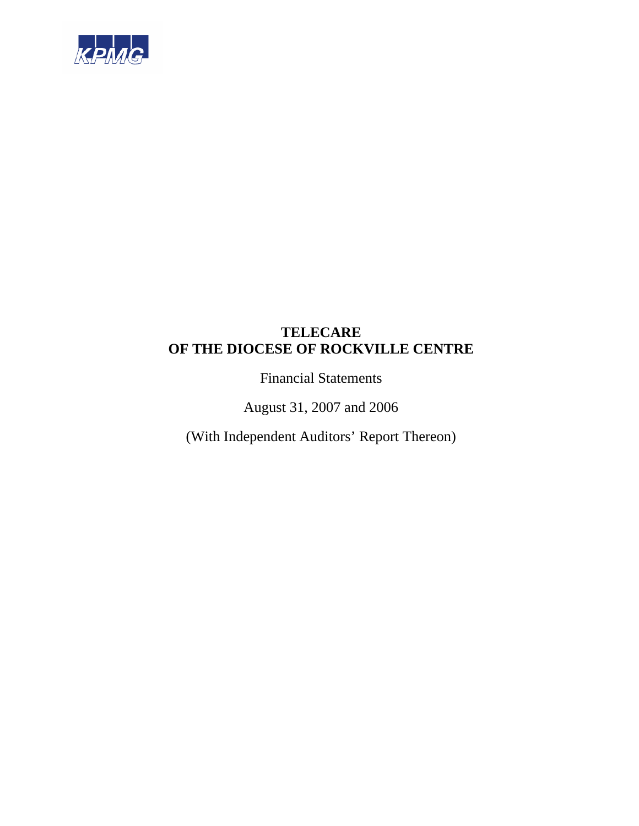

Financial Statements

August 31, 2007 and 2006

(With Independent Auditors' Report Thereon)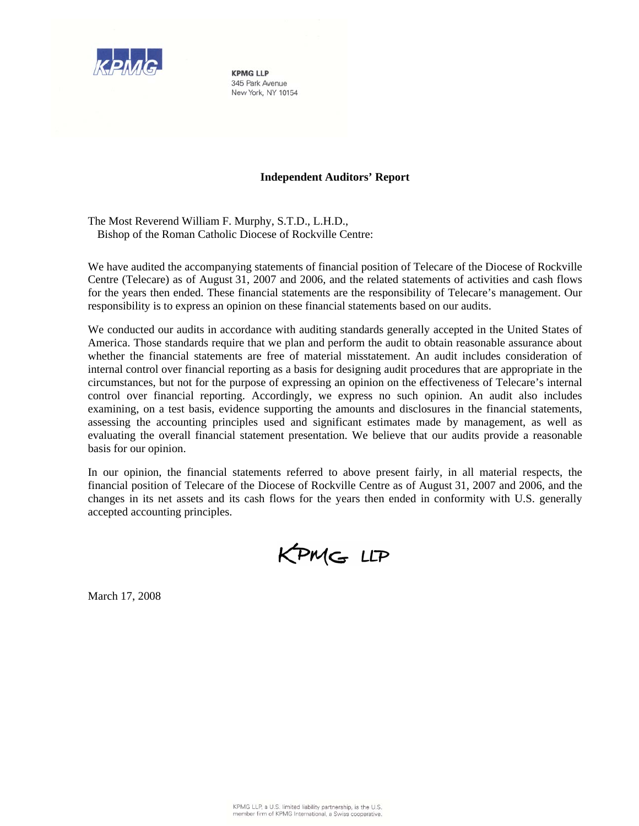

**KPMG IIP** 345 Park Avenue New York, NY 10154

## **Independent Auditors' Report**

The Most Reverend William F. Murphy, S.T.D., L.H.D., Bishop of the Roman Catholic Diocese of Rockville Centre:

We have audited the accompanying statements of financial position of Telecare of the Diocese of Rockville Centre (Telecare) as of August 31, 2007 and 2006, and the related statements of activities and cash flows for the years then ended. These financial statements are the responsibility of Telecare's management. Our responsibility is to express an opinion on these financial statements based on our audits.

We conducted our audits in accordance with auditing standards generally accepted in the United States of America. Those standards require that we plan and perform the audit to obtain reasonable assurance about whether the financial statements are free of material misstatement. An audit includes consideration of internal control over financial reporting as a basis for designing audit procedures that are appropriate in the circumstances, but not for the purpose of expressing an opinion on the effectiveness of Telecare's internal control over financial reporting. Accordingly, we express no such opinion. An audit also includes examining, on a test basis, evidence supporting the amounts and disclosures in the financial statements, assessing the accounting principles used and significant estimates made by management, as well as evaluating the overall financial statement presentation. We believe that our audits provide a reasonable basis for our opinion.

In our opinion, the financial statements referred to above present fairly, in all material respects, the financial position of Telecare of the Diocese of Rockville Centre as of August 31, 2007 and 2006, and the changes in its net assets and its cash flows for the years then ended in conformity with U.S. generally accepted accounting principles.

KPMG LLP

March 17, 2008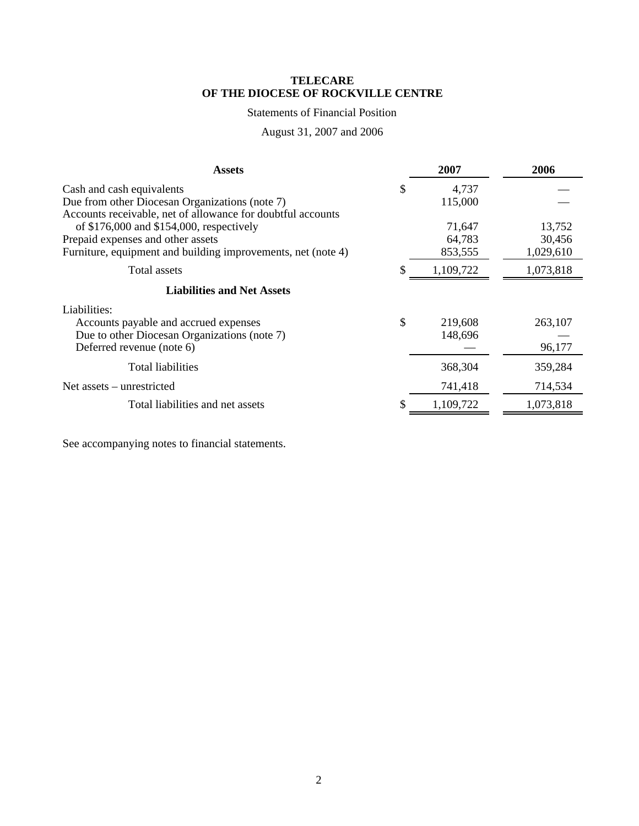## Statements of Financial Position

## August 31, 2007 and 2006

| <b>Assets</b>                                                                                              |    | 2007      | 2006      |
|------------------------------------------------------------------------------------------------------------|----|-----------|-----------|
| Cash and cash equivalents                                                                                  | \$ | 4,737     |           |
| Due from other Diocesan Organizations (note 7)                                                             |    | 115,000   |           |
| Accounts receivable, net of allowance for doubtful accounts<br>of $$176,000$ and $$154,000$ , respectively |    | 71,647    | 13,752    |
| Prepaid expenses and other assets                                                                          |    | 64,783    | 30,456    |
| Furniture, equipment and building improvements, net (note 4)                                               |    | 853,555   | 1,029,610 |
| Total assets                                                                                               | S  | 1,109,722 | 1,073,818 |
| <b>Liabilities and Net Assets</b>                                                                          |    |           |           |
| Liabilities:                                                                                               |    |           |           |
| Accounts payable and accrued expenses                                                                      | \$ | 219,608   | 263,107   |
| Due to other Diocesan Organizations (note 7)                                                               |    | 148,696   |           |
| Deferred revenue (note 6)                                                                                  |    |           | 96,177    |
| Total liabilities                                                                                          |    | 368,304   | 359,284   |
| Net assets – unrestricted                                                                                  |    | 741,418   | 714,534   |
| Total liabilities and net assets                                                                           |    | 1,109,722 | 1,073,818 |

See accompanying notes to financial statements.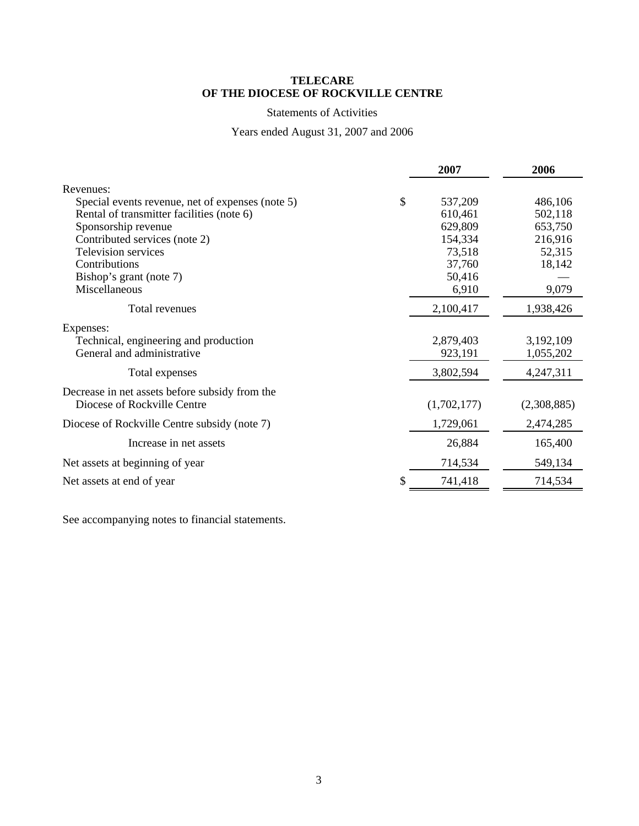## Statements of Activities

## Years ended August 31, 2007 and 2006

|                                                  | 2007          | 2006        |
|--------------------------------------------------|---------------|-------------|
| Revenues:                                        |               |             |
| Special events revenue, net of expenses (note 5) | \$<br>537,209 | 486,106     |
| Rental of transmitter facilities (note 6)        | 610,461       | 502,118     |
| Sponsorship revenue                              | 629,809       | 653,750     |
| Contributed services (note 2)                    | 154,334       | 216,916     |
| Television services                              | 73,518        | 52,315      |
| Contributions                                    | 37,760        | 18,142      |
| Bishop's grant (note 7)                          | 50,416        |             |
| Miscellaneous                                    | 6,910         | 9,079       |
| Total revenues                                   | 2,100,417     | 1,938,426   |
| Expenses:                                        |               |             |
| Technical, engineering and production            | 2,879,403     | 3,192,109   |
| General and administrative                       | 923,191       | 1,055,202   |
| Total expenses                                   | 3,802,594     | 4,247,311   |
| Decrease in net assets before subsidy from the   |               |             |
| Diocese of Rockville Centre                      | (1,702,177)   | (2,308,885) |
| Diocese of Rockville Centre subsidy (note 7)     | 1,729,061     | 2,474,285   |
| Increase in net assets                           | 26,884        | 165,400     |
| Net assets at beginning of year                  | 714,534       | 549,134     |
| Net assets at end of year                        | 741,418       | 714,534     |

See accompanying notes to financial statements.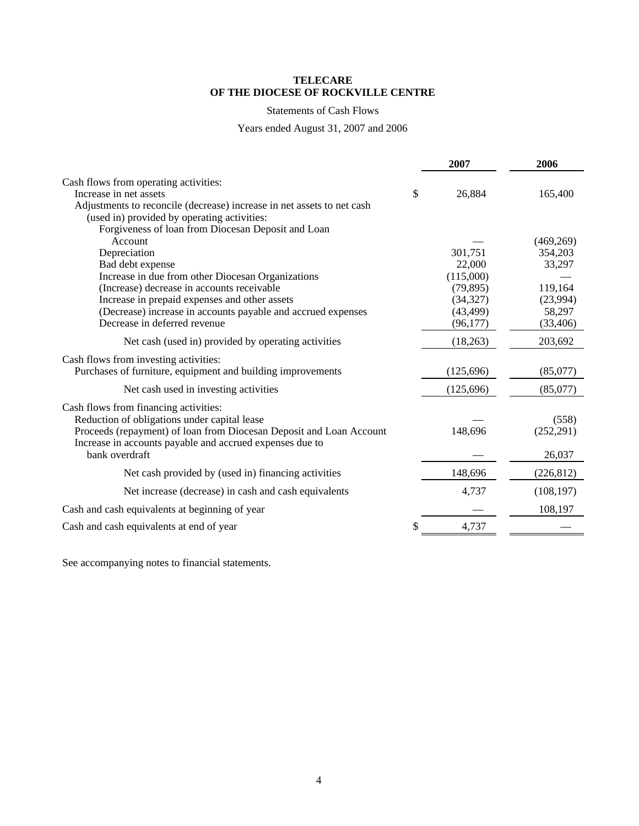## Statements of Cash Flows

## Years ended August 31, 2007 and 2006

|                                                                        | 2007         | 2006       |
|------------------------------------------------------------------------|--------------|------------|
| Cash flows from operating activities:                                  |              |            |
| Increase in net assets                                                 | \$<br>26,884 | 165,400    |
| Adjustments to reconcile (decrease) increase in net assets to net cash |              |            |
| (used in) provided by operating activities:                            |              |            |
| Forgiveness of loan from Diocesan Deposit and Loan                     |              |            |
| Account                                                                |              | (469, 269) |
| Depreciation                                                           | 301,751      | 354,203    |
| Bad debt expense                                                       | 22,000       | 33,297     |
| Increase in due from other Diocesan Organizations                      | (115,000)    |            |
| (Increase) decrease in accounts receivable                             | (79, 895)    | 119,164    |
| Increase in prepaid expenses and other assets                          | (34, 327)    | (23,994)   |
| (Decrease) increase in accounts payable and accrued expenses           | (43, 499)    | 58,297     |
| Decrease in deferred revenue                                           | (96, 177)    | (33, 406)  |
| Net cash (used in) provided by operating activities                    | (18, 263)    | 203,692    |
| Cash flows from investing activities:                                  |              |            |
| Purchases of furniture, equipment and building improvements            | (125, 696)   | (85,077)   |
| Net cash used in investing activities                                  | (125, 696)   | (85,077)   |
|                                                                        |              |            |
| Cash flows from financing activities:                                  |              |            |
| Reduction of obligations under capital lease                           |              | (558)      |
| Proceeds (repayment) of loan from Diocesan Deposit and Loan Account    | 148,696      | (252, 291) |
| Increase in accounts payable and accrued expenses due to               |              |            |
| bank overdraft                                                         |              | 26,037     |
| Net cash provided by (used in) financing activities                    | 148,696      | (226, 812) |
| Net increase (decrease) in cash and cash equivalents                   | 4,737        | (108, 197) |
| Cash and cash equivalents at beginning of year                         |              | 108,197    |
| Cash and cash equivalents at end of year                               | \$<br>4,737  |            |
|                                                                        |              |            |

See accompanying notes to financial statements.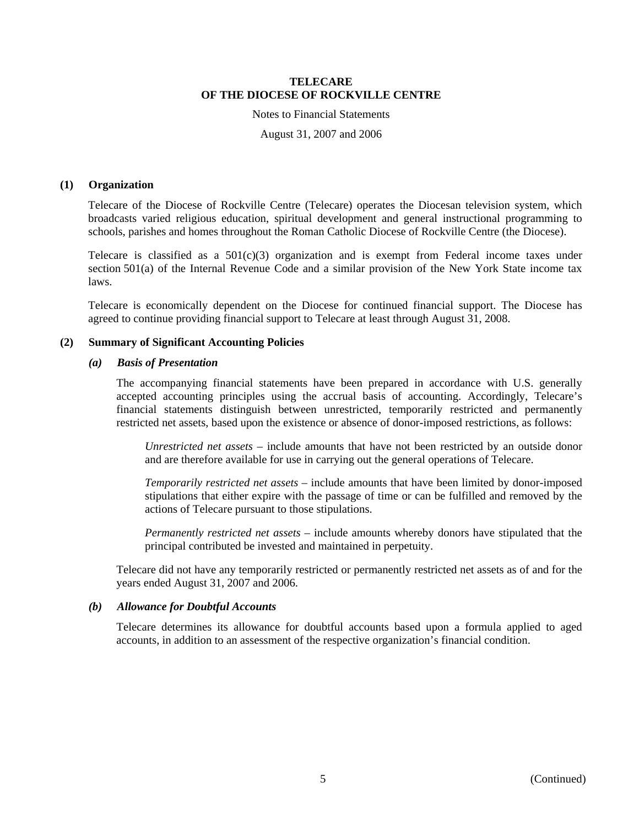Notes to Financial Statements

August 31, 2007 and 2006

#### **(1) Organization**

Telecare of the Diocese of Rockville Centre (Telecare) operates the Diocesan television system, which broadcasts varied religious education, spiritual development and general instructional programming to schools, parishes and homes throughout the Roman Catholic Diocese of Rockville Centre (the Diocese).

Telecare is classified as a  $501(c)(3)$  organization and is exempt from Federal income taxes under section 501(a) of the Internal Revenue Code and a similar provision of the New York State income tax laws.

Telecare is economically dependent on the Diocese for continued financial support. The Diocese has agreed to continue providing financial support to Telecare at least through August 31, 2008.

## **(2) Summary of Significant Accounting Policies**

## *(a) Basis of Presentation*

The accompanying financial statements have been prepared in accordance with U.S. generally accepted accounting principles using the accrual basis of accounting. Accordingly, Telecare's financial statements distinguish between unrestricted, temporarily restricted and permanently restricted net assets, based upon the existence or absence of donor-imposed restrictions, as follows:

*Unrestricted net assets* – include amounts that have not been restricted by an outside donor and are therefore available for use in carrying out the general operations of Telecare.

*Temporarily restricted net assets* – include amounts that have been limited by donor-imposed stipulations that either expire with the passage of time or can be fulfilled and removed by the actions of Telecare pursuant to those stipulations.

*Permanently restricted net assets* – include amounts whereby donors have stipulated that the principal contributed be invested and maintained in perpetuity.

Telecare did not have any temporarily restricted or permanently restricted net assets as of and for the years ended August 31, 2007 and 2006.

#### *(b) Allowance for Doubtful Accounts*

Telecare determines its allowance for doubtful accounts based upon a formula applied to aged accounts, in addition to an assessment of the respective organization's financial condition.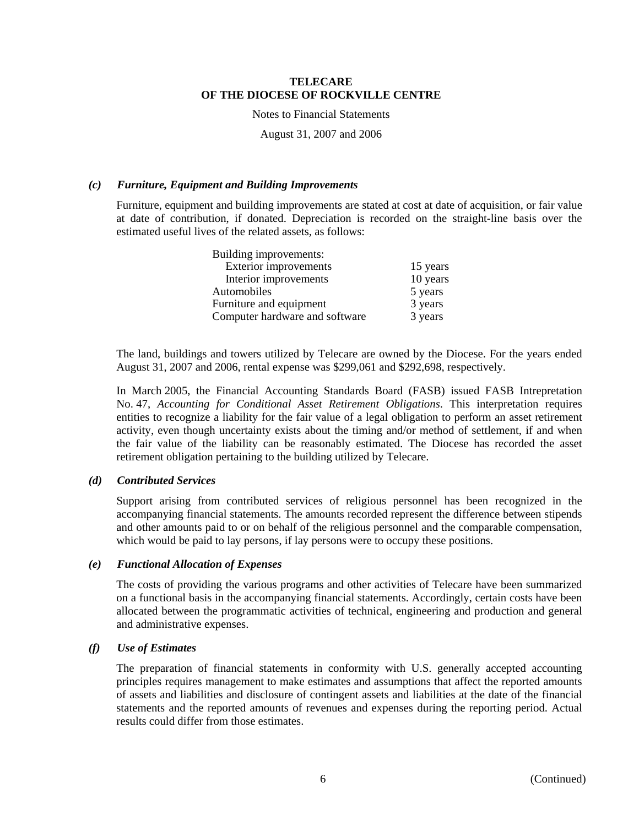Notes to Financial Statements

August 31, 2007 and 2006

## *(c) Furniture, Equipment and Building Improvements*

Furniture, equipment and building improvements are stated at cost at date of acquisition, or fair value at date of contribution, if donated. Depreciation is recorded on the straight-line basis over the estimated useful lives of the related assets, as follows:

| Building improvements:         |          |
|--------------------------------|----------|
| <b>Exterior improvements</b>   | 15 years |
| Interior improvements          | 10 years |
| Automobiles                    | 5 years  |
| Furniture and equipment        | 3 years  |
| Computer hardware and software | 3 years  |

The land, buildings and towers utilized by Telecare are owned by the Diocese. For the years ended August 31, 2007 and 2006, rental expense was \$299,061 and \$292,698, respectively.

In March 2005, the Financial Accounting Standards Board (FASB) issued FASB Intrepretation No. 47, *Accounting for Conditional Asset Retirement Obligations*. This interpretation requires entities to recognize a liability for the fair value of a legal obligation to perform an asset retirement activity, even though uncertainty exists about the timing and/or method of settlement, if and when the fair value of the liability can be reasonably estimated. The Diocese has recorded the asset retirement obligation pertaining to the building utilized by Telecare.

#### *(d) Contributed Services*

Support arising from contributed services of religious personnel has been recognized in the accompanying financial statements. The amounts recorded represent the difference between stipends and other amounts paid to or on behalf of the religious personnel and the comparable compensation, which would be paid to lay persons, if lay persons were to occupy these positions.

#### *(e) Functional Allocation of Expenses*

The costs of providing the various programs and other activities of Telecare have been summarized on a functional basis in the accompanying financial statements. Accordingly, certain costs have been allocated between the programmatic activities of technical, engineering and production and general and administrative expenses.

## *(f) Use of Estimates*

The preparation of financial statements in conformity with U.S. generally accepted accounting principles requires management to make estimates and assumptions that affect the reported amounts of assets and liabilities and disclosure of contingent assets and liabilities at the date of the financial statements and the reported amounts of revenues and expenses during the reporting period. Actual results could differ from those estimates.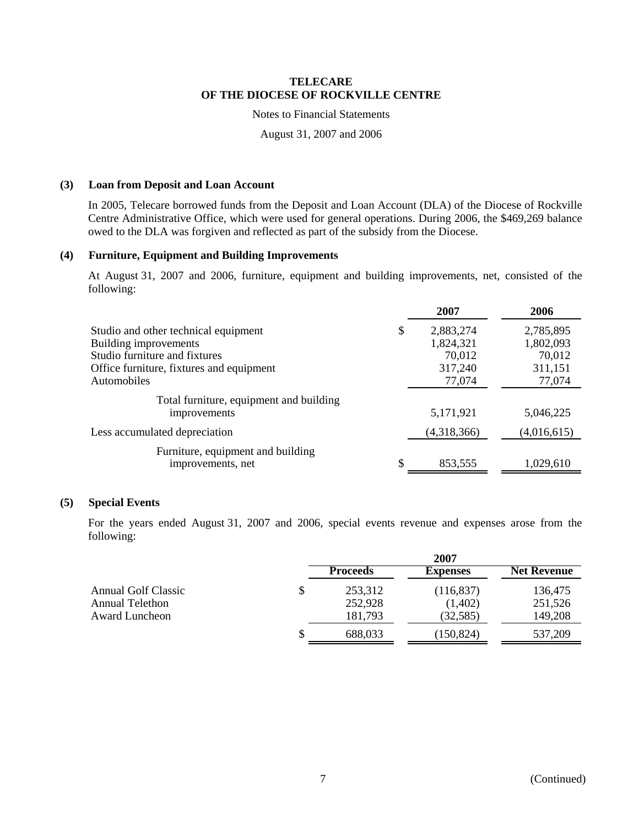## Notes to Financial Statements

August 31, 2007 and 2006

### **(3) Loan from Deposit and Loan Account**

In 2005, Telecare borrowed funds from the Deposit and Loan Account (DLA) of the Diocese of Rockville Centre Administrative Office, which were used for general operations. During 2006, the \$469,269 balance owed to the DLA was forgiven and reflected as part of the subsidy from the Diocese.

## **(4) Furniture, Equipment and Building Improvements**

At August 31, 2007 and 2006, furniture, equipment and building improvements, net, consisted of the following:

|                                          | 2007            | 2006        |
|------------------------------------------|-----------------|-------------|
| Studio and other technical equipment     | \$<br>2,883,274 | 2,785,895   |
| Building improvements                    | 1,824,321       | 1,802,093   |
| Studio furniture and fixtures            | 70,012          | 70,012      |
| Office furniture, fixtures and equipment | 317,240         | 311,151     |
| Automobiles                              | 77,074          | 77,074      |
| Total furniture, equipment and building  |                 |             |
| improvements                             | 5,171,921       | 5,046,225   |
| Less accumulated depreciation            | (4,318,366)     | (4,016,615) |
| Furniture, equipment and building        |                 |             |
| improvements, net                        | 853,555         | 1,029,610   |
|                                          |                 |             |

#### **(5) Special Events**

For the years ended August 31, 2007 and 2006, special events revenue and expenses arose from the following:

|                     |    | 2007            |                 |                    |
|---------------------|----|-----------------|-----------------|--------------------|
|                     |    | <b>Proceeds</b> | <b>Expenses</b> | <b>Net Revenue</b> |
| Annual Golf Classic | \$ | 253,312         | (116,837)       | 136,475            |
| Annual Telethon     |    | 252,928         | (1,402)         | 251,526            |
| Award Luncheon      |    | 181,793         | (32, 585)       | 149,208            |
|                     | S  | 688,033         | (150, 824)      | 537,209            |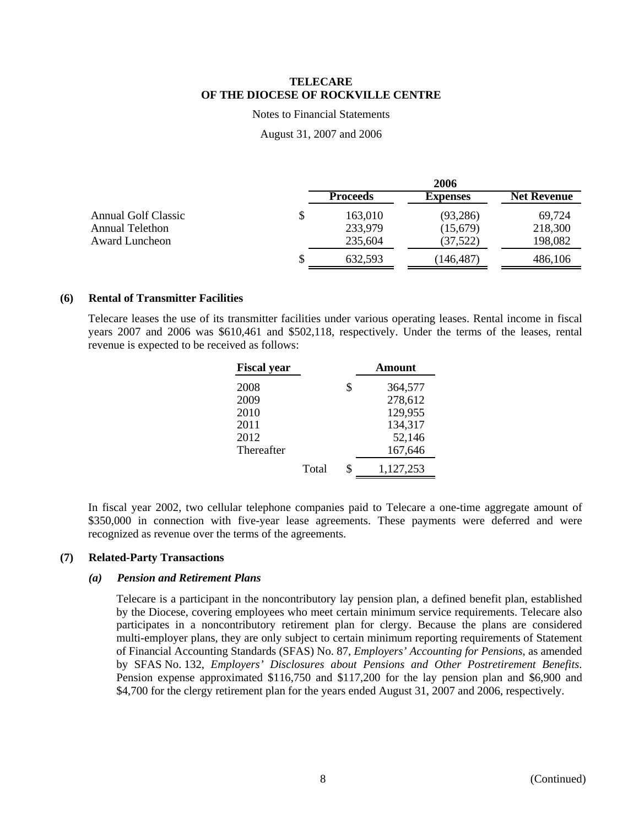Notes to Financial Statements

August 31, 2007 and 2006

|                     |    | 2006            |                 |                    |
|---------------------|----|-----------------|-----------------|--------------------|
|                     |    | <b>Proceeds</b> | <b>Expenses</b> | <b>Net Revenue</b> |
| Annual Golf Classic | \$ | 163,010         | (93, 286)       | 69,724             |
| Annual Telethon     |    | 233,979         | (15,679)        | 218,300            |
| Award Luncheon      |    | 235,604         | (37, 522)       | 198,082            |
|                     | S  | 632.593         | (146, 487)      | 486,106            |

## **(6) Rental of Transmitter Facilities**

Telecare leases the use of its transmitter facilities under various operating leases. Rental income in fiscal years 2007 and 2006 was \$610,461 and \$502,118, respectively. Under the terms of the leases, rental revenue is expected to be received as follows:

| <b>Fiscal year</b> |       | <b>Amount</b>   |
|--------------------|-------|-----------------|
| 2008               |       | \$<br>364,577   |
| 2009               |       | 278,612         |
| 2010               |       | 129,955         |
| 2011               |       | 134,317         |
| 2012               |       | 52,146          |
| Thereafter         |       | 167,646         |
|                    | Total | \$<br>1,127,253 |

In fiscal year 2002, two cellular telephone companies paid to Telecare a one-time aggregate amount of \$350,000 in connection with five-year lease agreements. These payments were deferred and were recognized as revenue over the terms of the agreements.

#### **(7) Related-Party Transactions**

#### *(a) Pension and Retirement Plans*

Telecare is a participant in the noncontributory lay pension plan, a defined benefit plan, established by the Diocese, covering employees who meet certain minimum service requirements. Telecare also participates in a noncontributory retirement plan for clergy. Because the plans are considered multi-employer plans, they are only subject to certain minimum reporting requirements of Statement of Financial Accounting Standards (SFAS) No. 87, *Employers' Accounting for Pensions*, as amended by SFAS No. 132, *Employers' Disclosures about Pensions and Other Postretirement Benefits*. Pension expense approximated \$116,750 and \$117,200 for the lay pension plan and \$6,900 and \$4,700 for the clergy retirement plan for the years ended August 31, 2007 and 2006, respectively.